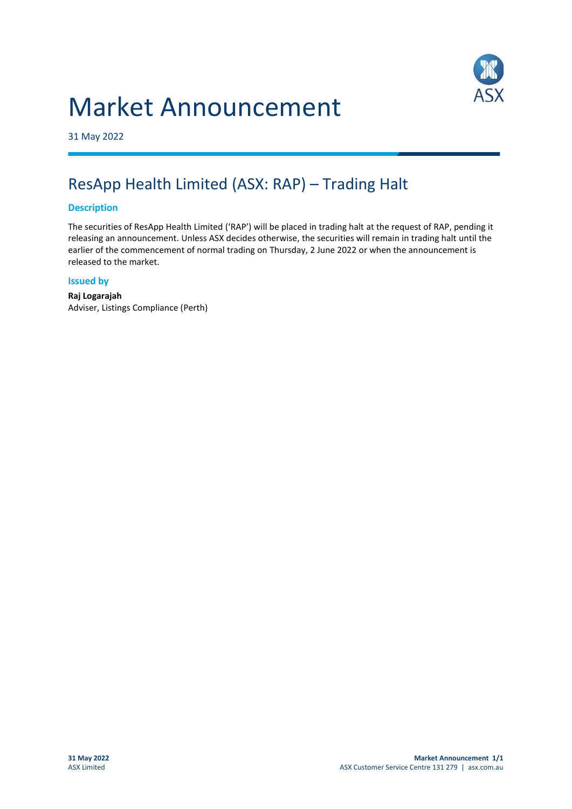# Market Announcement



31 May 2022

# ResApp Health Limited (ASX: RAP) – Trading Halt

## **Description**

The securities of ResApp Health Limited ('RAP') will be placed in trading halt at the request of RAP, pending it releasing an announcement. Unless ASX decides otherwise, the securities will remain in trading halt until the earlier of the commencement of normal trading on Thursday, 2 June 2022 or when the announcement is released to the market.

### **Issued by**

**Raj Logarajah** Adviser, Listings Compliance (Perth)